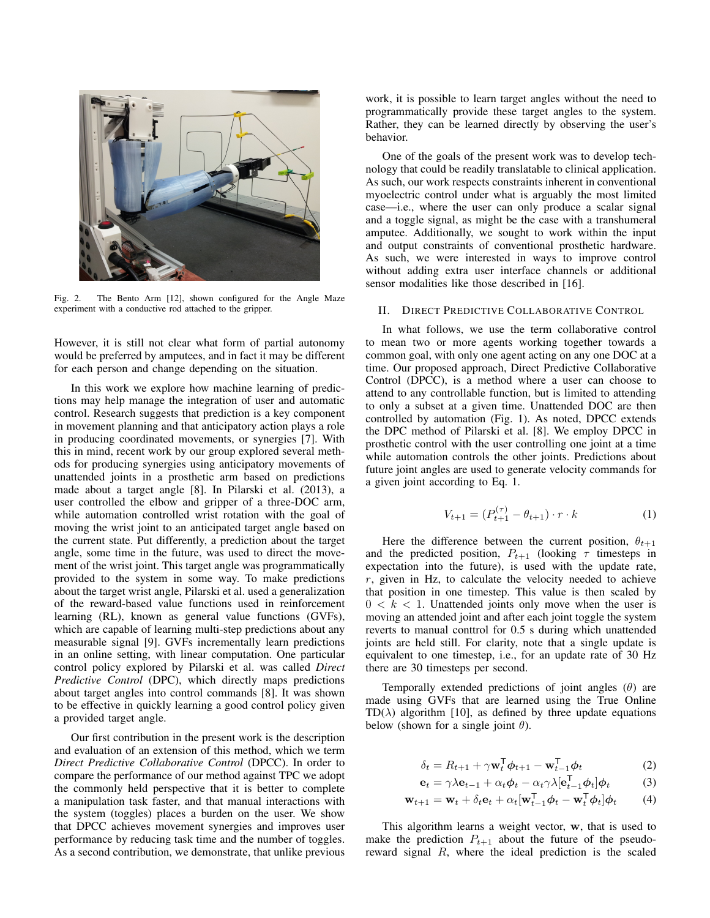

Fig. 2. The Bento Arm [12], shown configured for the Angle Maze experiment with a conductive rod attached to the gripper.

However, it is still not clear what form of partial autonomy would be preferred by amputees, and in fact it may be different for each person and change depending on the situation.

In this work we explore how machine learning of predictions may help manage the integration of user and automatic control. Research suggests that prediction is a key component in movement planning and that anticipatory action plays a role in producing coordinated movements, or synergies [7]. With this in mind, recent work by our group explored several methods for producing synergies using anticipatory movements of unattended joints in a prosthetic arm based on predictions made about a target angle [8]. In Pilarski et al. (2013), a user controlled the elbow and gripper of a three-DOC arm, while automation controlled wrist rotation with the goal of moving the wrist joint to an anticipated target angle based on the current state. Put differently, a prediction about the target angle, some time in the future, was used to direct the movement of the wrist joint. This target angle was programmatically provided to the system in some way. To make predictions about the target wrist angle, Pilarski et al. used a generalization of the reward-based value functions used in reinforcement learning (RL), known as general value functions (GVFs), which are capable of learning multi-step predictions about any measurable signal [9]. GVFs incrementally learn predictions in an online setting, with linear computation. One particular control policy explored by Pilarski et al. was called *Direct Predictive Control* (DPC), which directly maps predictions about target angles into control commands [8]. It was shown to be effective in quickly learning a good control policy given a provided target angle.

Our first contribution in the present work is the description and evaluation of an extension of this method, which we term *Direct Predictive Collaborative Control* (DPCC). In order to compare the performance of our method against TPC we adopt the commonly held perspective that it is better to complete a manipulation task faster, and that manual interactions with the system (toggles) places a burden on the user. We show that DPCC achieves movement synergies and improves user performance by reducing task time and the number of toggles. As a second contribution, we demonstrate, that unlike previous

work, it is possible to learn target angles without the need to programmatically provide these target angles to the system. Rather, they can be learned directly by observing the user's behavior.

One of the goals of the present work was to develop technology that could be readily translatable to clinical application. As such, our work respects constraints inherent in conventional myoelectric control under what is arguably the most limited case—i.e., where the user can only produce a scalar signal and a toggle signal, as might be the case with a transhumeral amputee. Additionally, we sought to work within the input and output constraints of conventional prosthetic hardware. As such, we were interested in ways to improve control without adding extra user interface channels or additional sensor modalities like those described in [16].

# II. DIRECT PREDICTIVE COLLABORATIVE CONTROL

In what follows, we use the term collaborative control to mean two or more agents working together towards a common goal, with only one agent acting on any one DOC at a time. Our proposed approach, Direct Predictive Collaborative Control (DPCC), is a method where a user can choose to attend to any controllable function, but is limited to attending to only a subset at a given time. Unattended DOC are then controlled by automation (Fig. 1). As noted, DPCC extends the DPC method of Pilarski et al. [8]. We employ DPCC in prosthetic control with the user controlling one joint at a time while automation controls the other joints. Predictions about future joint angles are used to generate velocity commands for a given joint according to Eq. 1.

$$
V_{t+1} = (P_{t+1}^{(\tau)} - \theta_{t+1}) \cdot r \cdot k \tag{1}
$$

Here the difference between the current position,  $\theta_{t+1}$ and the predicted position,  $P_{t+1}$  (looking  $\tau$  timesteps in expectation into the future), is used with the update rate, r, given in Hz, to calculate the velocity needed to achieve that position in one timestep. This value is then scaled by  $0 < k < 1$ . Unattended joints only move when the user is moving an attended joint and after each joint toggle the system reverts to manual conttrol for 0.5 s during which unattended joints are held still. For clarity, note that a single update is equivalent to one timestep, i.e., for an update rate of 30 Hz there are 30 timesteps per second.

Temporally extended predictions of joint angles  $(\theta)$  are made using GVFs that are learned using the True Online TD( $\lambda$ ) algorithm [10], as defined by three update equations below (shown for a single joint  $\theta$ ).

$$
\delta_t = R_{t+1} + \gamma \mathbf{w}_t^{\mathsf{T}} \boldsymbol{\phi}_{t+1} - \mathbf{w}_{t-1}^{\mathsf{T}} \boldsymbol{\phi}_t \tag{2}
$$

$$
\mathbf{e}_t = \gamma \lambda \mathbf{e}_{t-1} + \alpha_t \phi_t - \alpha_t \gamma \lambda [\mathbf{e}_{t-1}^\mathsf{T} \phi_t] \phi_t \tag{3}
$$

$$
\mathbf{w}_{t+1} = \mathbf{w}_t + \delta_t \mathbf{e}_t + \alpha_t [\mathbf{w}_{t-1}^\mathsf{T} \boldsymbol{\phi}_t - \mathbf{w}_t^\mathsf{T} \boldsymbol{\phi}_t] \boldsymbol{\phi}_t \tag{4}
$$

This algorithm learns a weight vector, w, that is used to make the prediction  $P_{t+1}$  about the future of the pseudoreward signal R, where the ideal prediction is the scaled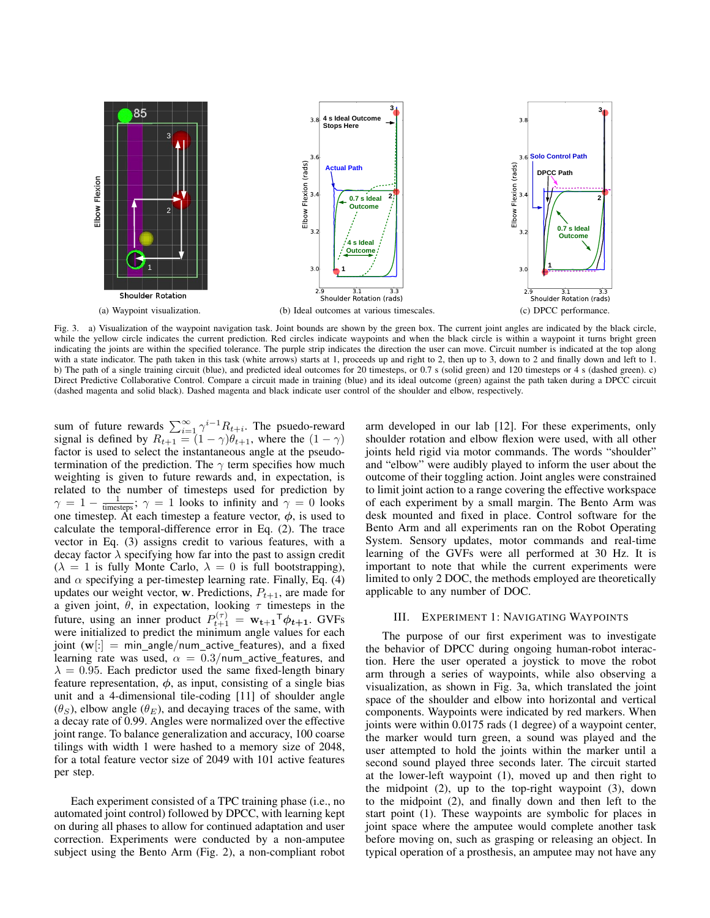

Fig. 3. a) Visualization of the waypoint navigation task. Joint bounds are shown by the green box. The current joint angles are indicated by the black circle, while the yellow circle indicates the current prediction. Red circles indicate waypoints and when the black circle is within a waypoint it turns bright green indicating the joints are within the specified tolerance. The purple strip indicates the direction the user can move. Circuit number is indicated at the top along with a state indicator. The path taken in this task (white arrows) starts at 1, proceeds up and right to 2, then up to 3, down to 2 and finally down and left to 1. b) The path of a single training circuit (blue), and predicted ideal outcomes for 20 timesteps, or 0.7 s (solid green) and 120 timesteps or 4 s (dashed green). c) Direct Predictive Collaborative Control. Compare a circuit made in training (blue) and its ideal outcome (green) against the path taken during a DPCC circuit (dashed magenta and solid black). Dashed magenta and black indicate user control of the shoulder and elbow, respectively.

sum of future rewards  $\sum_{i=1}^{\infty} \gamma^{i-1} R_{t+i}$ . The psuedo-reward signal is defined by  $R_{t+1} = (1 - \gamma)\theta_{t+1}$ , where the  $(1 - \gamma)$ factor is used to select the instantaneous angle at the pseudotermination of the prediction. The  $\gamma$  term specifies how much weighting is given to future rewards and, in expectation, is related to the number of timesteps used for prediction by  $\gamma = 1 - \frac{1}{\text{timesteps}}$ ;  $\gamma = 1$  looks to infinity and  $\gamma = 0$  looks one timestep. At each timestep a feature vector,  $\phi$ , is used to calculate the temporal-difference error in Eq. (2). The trace vector in Eq. (3) assigns credit to various features, with a decay factor  $\lambda$  specifying how far into the past to assign credit  $(\lambda = 1$  is fully Monte Carlo,  $\lambda = 0$  is full bootstrapping), and  $\alpha$  specifying a per-timestep learning rate. Finally, Eq. (4) updates our weight vector, w. Predictions,  $P_{t+1}$ , are made for a given joint,  $\theta$ , in expectation, looking  $\tau$  timesteps in the future, using an inner product  $P_{t+1}^{(\tau)} = \mathbf{w_{t+1}}^T \phi_{t+1}$ . GVFs were initialized to predict the minimum angle values for each joint  $(\mathbf{w}[\cdot] = \text{min\_angle}/\text{num\_active\_features})$ , and a fixed learning rate was used,  $\alpha = 0.3$ /num active features, and  $\lambda = 0.95$ . Each predictor used the same fixed-length binary feature representation,  $\phi$ , as input, consisting of a single bias unit and a 4-dimensional tile-coding [11] of shoulder angle  $(\theta_S)$ , elbow angle  $(\theta_F)$ , and decaying traces of the same, with a decay rate of 0.99. Angles were normalized over the effective joint range. To balance generalization and accuracy, 100 coarse tilings with width 1 were hashed to a memory size of 2048, for a total feature vector size of 2049 with 101 active features per step.

Each experiment consisted of a TPC training phase (i.e., no automated joint control) followed by DPCC, with learning kept on during all phases to allow for continued adaptation and user correction. Experiments were conducted by a non-amputee subject using the Bento Arm (Fig. 2), a non-compliant robot

arm developed in our lab [12]. For these experiments, only shoulder rotation and elbow flexion were used, with all other joints held rigid via motor commands. The words "shoulder" and "elbow" were audibly played to inform the user about the outcome of their toggling action. Joint angles were constrained to limit joint action to a range covering the effective workspace of each experiment by a small margin. The Bento Arm was desk mounted and fixed in place. Control software for the Bento Arm and all experiments ran on the Robot Operating System. Sensory updates, motor commands and real-time learning of the GVFs were all performed at 30 Hz. It is important to note that while the current experiments were limited to only 2 DOC, the methods employed are theoretically applicable to any number of DOC.

### III. EXPERIMENT 1: NAVIGATING WAYPOINTS

The purpose of our first experiment was to investigate the behavior of DPCC during ongoing human-robot interaction. Here the user operated a joystick to move the robot arm through a series of waypoints, while also observing a visualization, as shown in Fig. 3a, which translated the joint space of the shoulder and elbow into horizontal and vertical components. Waypoints were indicated by red markers. When joints were within 0.0175 rads (1 degree) of a waypoint center, the marker would turn green, a sound was played and the user attempted to hold the joints within the marker until a second sound played three seconds later. The circuit started at the lower-left waypoint (1), moved up and then right to the midpoint (2), up to the top-right waypoint (3), down to the midpoint (2), and finally down and then left to the start point (1). These waypoints are symbolic for places in joint space where the amputee would complete another task before moving on, such as grasping or releasing an object. In typical operation of a prosthesis, an amputee may not have any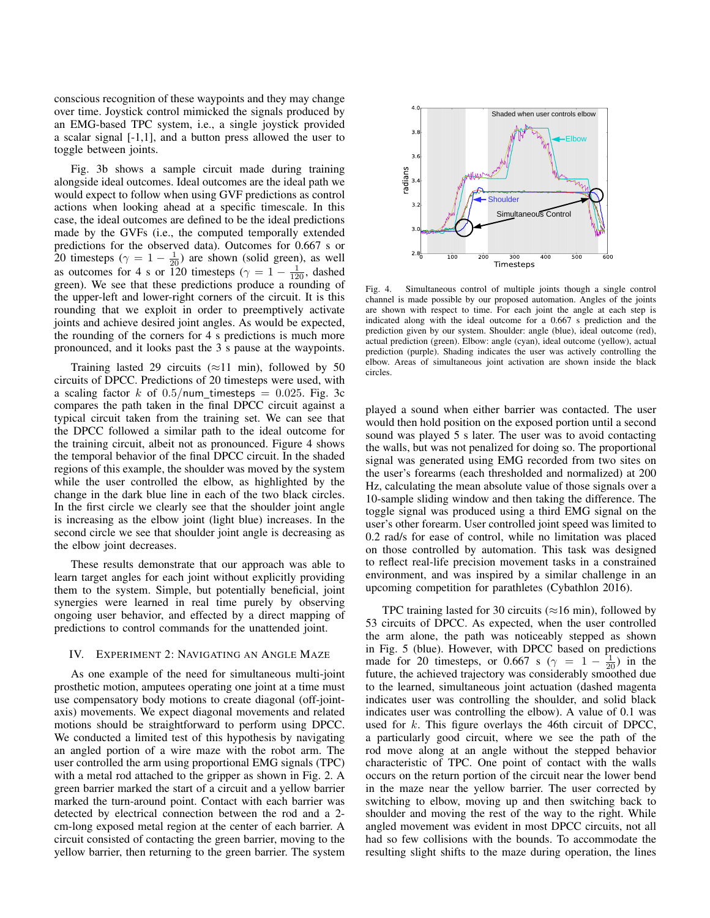conscious recognition of these waypoints and they may change over time. Joystick control mimicked the signals produced by an EMG-based TPC system, i.e., a single joystick provided a scalar signal [-1,1], and a button press allowed the user to toggle between joints.

Fig. 3b shows a sample circuit made during training alongside ideal outcomes. Ideal outcomes are the ideal path we would expect to follow when using GVF predictions as control actions when looking ahead at a specific timescale. In this case, the ideal outcomes are defined to be the ideal predictions made by the GVFs (i.e., the computed temporally extended predictions for the observed data). Outcomes for 0.667 s or 20 timesteps ( $\gamma = 1 - \frac{1}{20}$ ) are shown (solid green), as well as outcomes for 4 s or 120 timesteps ( $\gamma = 1 - \frac{1}{120}$ , dashed green). We see that these predictions produce a rounding of the upper-left and lower-right corners of the circuit. It is this rounding that we exploit in order to preemptively activate joints and achieve desired joint angles. As would be expected, the rounding of the corners for 4 s predictions is much more pronounced, and it looks past the 3 s pause at the waypoints.

Training lasted 29 circuits ( $\approx$ 11 min), followed by 50 circuits of DPCC. Predictions of 20 timesteps were used, with a scaling factor k of  $0.5/num\_t$ imesteps = 0.025. Fig. 3c compares the path taken in the final DPCC circuit against a typical circuit taken from the training set. We can see that the DPCC followed a similar path to the ideal outcome for the training circuit, albeit not as pronounced. Figure 4 shows the temporal behavior of the final DPCC circuit. In the shaded regions of this example, the shoulder was moved by the system while the user controlled the elbow, as highlighted by the change in the dark blue line in each of the two black circles. In the first circle we clearly see that the shoulder joint angle is increasing as the elbow joint (light blue) increases. In the second circle we see that shoulder joint angle is decreasing as the elbow joint decreases.

These results demonstrate that our approach was able to learn target angles for each joint without explicitly providing them to the system. Simple, but potentially beneficial, joint synergies were learned in real time purely by observing ongoing user behavior, and effected by a direct mapping of predictions to control commands for the unattended joint.

### IV. EXPERIMENT 2: NAVIGATING AN ANGLE MAZE

As one example of the need for simultaneous multi-joint prosthetic motion, amputees operating one joint at a time must use compensatory body motions to create diagonal (off-jointaxis) movements. We expect diagonal movements and related motions should be straightforward to perform using DPCC. We conducted a limited test of this hypothesis by navigating an angled portion of a wire maze with the robot arm. The user controlled the arm using proportional EMG signals (TPC) with a metal rod attached to the gripper as shown in Fig. 2. A green barrier marked the start of a circuit and a yellow barrier marked the turn-around point. Contact with each barrier was detected by electrical connection between the rod and a 2 cm-long exposed metal region at the center of each barrier. A circuit consisted of contacting the green barrier, moving to the yellow barrier, then returning to the green barrier. The system



Fig. 4. Simultaneous control of multiple joints though a single control channel is made possible by our proposed automation. Angles of the joints are shown with respect to time. For each joint the angle at each step is indicated along with the ideal outcome for a 0.667 s prediction and the prediction given by our system. Shoulder: angle (blue), ideal outcome (red), actual prediction (green). Elbow: angle (cyan), ideal outcome (yellow), actual prediction (purple). Shading indicates the user was actively controlling the elbow. Areas of simultaneous joint activation are shown inside the black circles.

played a sound when either barrier was contacted. The user would then hold position on the exposed portion until a second sound was played 5 s later. The user was to avoid contacting the walls, but was not penalized for doing so. The proportional signal was generated using EMG recorded from two sites on the user's forearms (each thresholded and normalized) at 200 Hz, calculating the mean absolute value of those signals over a 10-sample sliding window and then taking the difference. The toggle signal was produced using a third EMG signal on the user's other forearm. User controlled joint speed was limited to 0.2 rad/s for ease of control, while no limitation was placed on those controlled by automation. This task was designed to reflect real-life precision movement tasks in a constrained environment, and was inspired by a similar challenge in an upcoming competition for parathletes (Cybathlon 2016).

TPC training lasted for 30 circuits ( $\approx$ 16 min), followed by 53 circuits of DPCC. As expected, when the user controlled the arm alone, the path was noticeably stepped as shown in Fig. 5 (blue). However, with DPCC based on predictions made for 20 timesteps, or 0.667 s ( $\gamma = 1 - \frac{1}{20}$ ) in the future, the achieved trajectory was considerably smoothed due to the learned, simultaneous joint actuation (dashed magenta indicates user was controlling the shoulder, and solid black indicates user was controlling the elbow). A value of 0.1 was used for k. This figure overlays the 46th circuit of DPCC, a particularly good circuit, where we see the path of the rod move along at an angle without the stepped behavior characteristic of TPC. One point of contact with the walls occurs on the return portion of the circuit near the lower bend in the maze near the yellow barrier. The user corrected by switching to elbow, moving up and then switching back to shoulder and moving the rest of the way to the right. While angled movement was evident in most DPCC circuits, not all had so few collisions with the bounds. To accommodate the resulting slight shifts to the maze during operation, the lines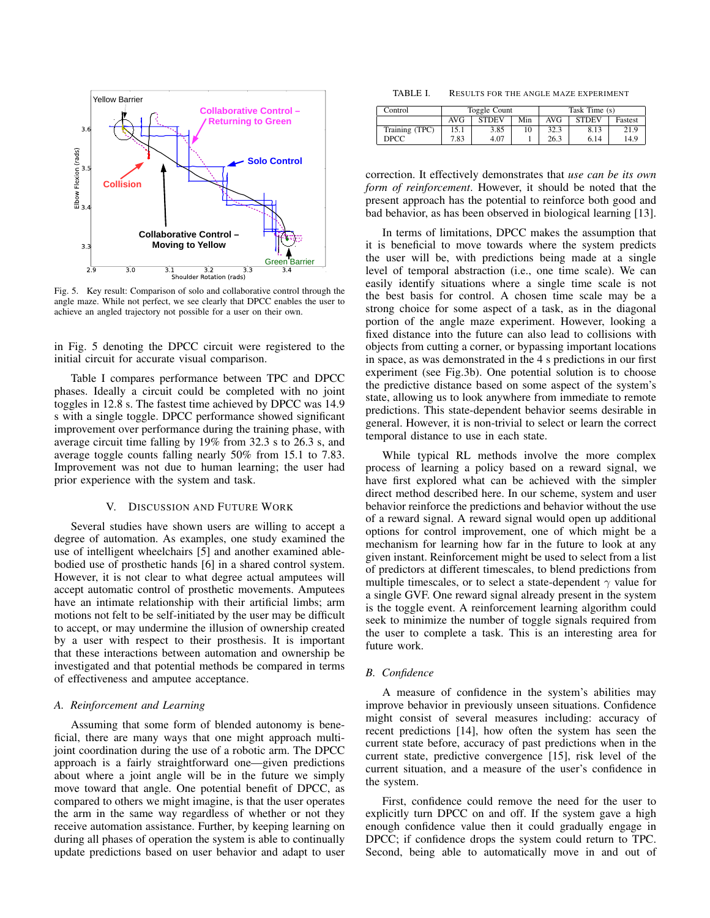

Fig. 5. Key result: Comparison of solo and collaborative control through the angle maze. While not perfect, we see clearly that DPCC enables the user to achieve an angled trajectory not possible for a user on their own.

in Fig. 5 denoting the DPCC circuit were registered to the initial circuit for accurate visual comparison.

Table I compares performance between TPC and DPCC phases. Ideally a circuit could be completed with no joint toggles in 12.8 s. The fastest time achieved by DPCC was 14.9 s with a single toggle. DPCC performance showed significant improvement over performance during the training phase, with average circuit time falling by 19% from 32.3 s to 26.3 s, and average toggle counts falling nearly 50% from 15.1 to 7.83. Improvement was not due to human learning; the user had prior experience with the system and task.

#### V. DISCUSSION AND FUTURE WORK

Several studies have shown users are willing to accept a degree of automation. As examples, one study examined the use of intelligent wheelchairs [5] and another examined ablebodied use of prosthetic hands [6] in a shared control system. However, it is not clear to what degree actual amputees will accept automatic control of prosthetic movements. Amputees have an intimate relationship with their artificial limbs; arm motions not felt to be self-initiated by the user may be difficult to accept, or may undermine the illusion of ownership created by a user with respect to their prosthesis. It is important that these interactions between automation and ownership be investigated and that potential methods be compared in terms of effectiveness and amputee acceptance.

### *A. Reinforcement and Learning*

Assuming that some form of blended autonomy is beneficial, there are many ways that one might approach multijoint coordination during the use of a robotic arm. The DPCC approach is a fairly straightforward one—given predictions about where a joint angle will be in the future we simply move toward that angle. One potential benefit of DPCC, as compared to others we might imagine, is that the user operates the arm in the same way regardless of whether or not they receive automation assistance. Further, by keeping learning on during all phases of operation the system is able to continually update predictions based on user behavior and adapt to user

TABLE I. RESULTS FOR THE ANGLE MAZE EXPERIMENT

| Control        | Toggle Count |              |     | Task Time (s) |              |         |
|----------------|--------------|--------------|-----|---------------|--------------|---------|
|                | AVG          | <b>STDEV</b> | Min | AVG           | <b>STDEV</b> | Fastest |
| Training (TPC) | 15.1         | 3.85         | 10  | 32.3          | 8.13         | 21.9    |
| DPCC           | 7.83         | 4.07         |     | 26.3          | 6.14         | 14.9    |

correction. It effectively demonstrates that *use can be its own form of reinforcement*. However, it should be noted that the present approach has the potential to reinforce both good and bad behavior, as has been observed in biological learning [13].

In terms of limitations, DPCC makes the assumption that it is beneficial to move towards where the system predicts the user will be, with predictions being made at a single level of temporal abstraction (i.e., one time scale). We can easily identify situations where a single time scale is not the best basis for control. A chosen time scale may be a strong choice for some aspect of a task, as in the diagonal portion of the angle maze experiment. However, looking a fixed distance into the future can also lead to collisions with objects from cutting a corner, or bypassing important locations in space, as was demonstrated in the 4 s predictions in our first experiment (see Fig.3b). One potential solution is to choose the predictive distance based on some aspect of the system's state, allowing us to look anywhere from immediate to remote predictions. This state-dependent behavior seems desirable in general. However, it is non-trivial to select or learn the correct temporal distance to use in each state.

While typical RL methods involve the more complex process of learning a policy based on a reward signal, we have first explored what can be achieved with the simpler direct method described here. In our scheme, system and user behavior reinforce the predictions and behavior without the use of a reward signal. A reward signal would open up additional options for control improvement, one of which might be a mechanism for learning how far in the future to look at any given instant. Reinforcement might be used to select from a list of predictors at different timescales, to blend predictions from multiple timescales, or to select a state-dependent  $\gamma$  value for a single GVF. One reward signal already present in the system is the toggle event. A reinforcement learning algorithm could seek to minimize the number of toggle signals required from the user to complete a task. This is an interesting area for future work.

### *B. Confidence*

A measure of confidence in the system's abilities may improve behavior in previously unseen situations. Confidence might consist of several measures including: accuracy of recent predictions [14], how often the system has seen the current state before, accuracy of past predictions when in the current state, predictive convergence [15], risk level of the current situation, and a measure of the user's confidence in the system.

First, confidence could remove the need for the user to explicitly turn DPCC on and off. If the system gave a high enough confidence value then it could gradually engage in DPCC; if confidence drops the system could return to TPC. Second, being able to automatically move in and out of